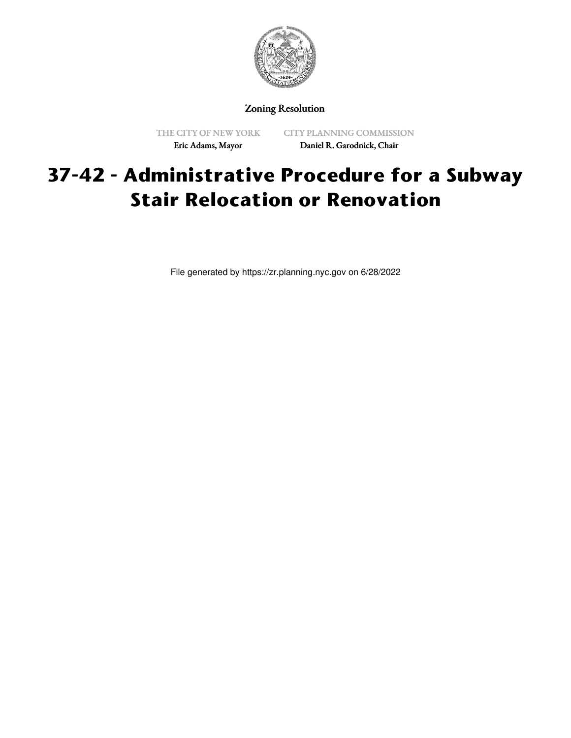

Zoning Resolution

THE CITY OF NEW YORK Eric Adams, Mayor

CITY PLANNING COMMISSION Daniel R. Garodnick, Chair

## **37-42 - Administrative Procedure for a Subway Stair Relocation or Renovation**

File generated by https://zr.planning.nyc.gov on 6/28/2022